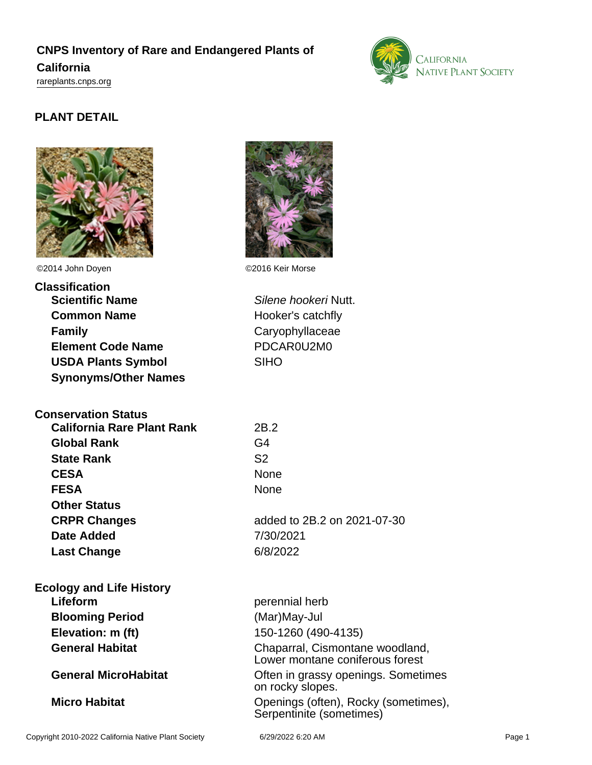## **CNPS Inventory of Rare and Endangered Plants of California** <rareplants.cnps.org>



## **PLANT DETAIL**



©2014 John Doyen ©2016 Keir Morse

| Classification              |  |
|-----------------------------|--|
| <b>Scientific Name</b>      |  |
| <b>Common Name</b>          |  |
| <b>Family</b>               |  |
| <b>Element Code Name</b>    |  |
| <b>USDA Plants Symbol</b>   |  |
| <b>Synonyms/Other Names</b> |  |

### **Conservation Status**

| <b>California Rare Plant Rank</b> | 2B.2           |
|-----------------------------------|----------------|
| <b>Global Rank</b>                | G4             |
| <b>State Rank</b>                 | S <sub>2</sub> |
| <b>CESA</b>                       | None           |
| <b>FESA</b>                       | None           |
| <b>Other Status</b>               |                |
| <b>CRPR Changes</b>               | added          |
| Date Added                        | 7/30/2         |
| <b>Last Change</b>                | 6/8/20         |
|                                   |                |

# **Ecology and Life History Blooming Period** (Mar)May-Jul **Elevation: m (ft)** 150-1260 (490-4135)



**Silene hookeri Nutt. Hooker's catchfly Family** Caryophyllaceae **Element Code Name** PDCAR0U2M0 SIHO<sup></sup>

**CESA** None **CRPR Changes** added to 2B.2 on 2021-07-30 **Date Added** 7/30/2021 **Last Change** 6/8/2022

perennial herb General Habitat **Chaparral, Cismontane woodland,** Lower montane coniferous forest **General MicroHabitat Construction Construction Construction Construction Construction Construction Construction Construction Construction Construction Construction Construction Construction Construction Construction Con** on rocky slopes. **Micro Habitat Micro Habitat Openings (often), Rocky (sometimes),** Serpentinite (sometimes)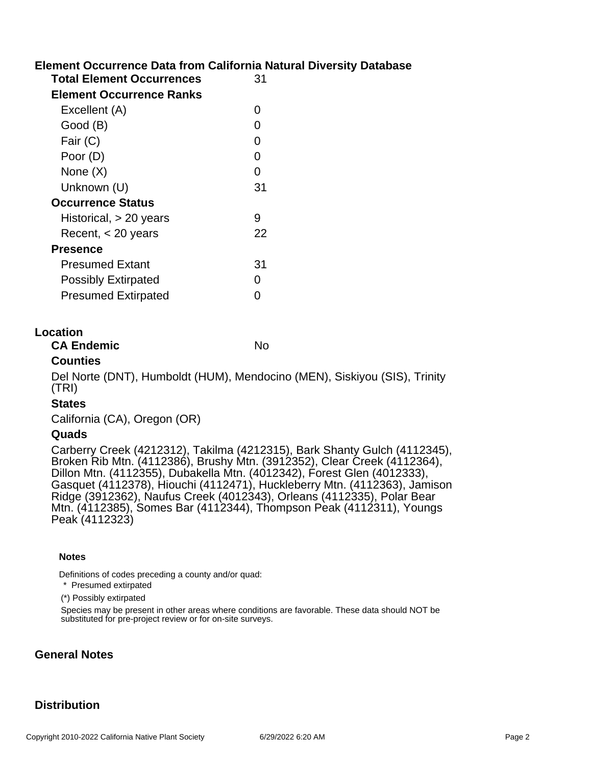## **Element Occurrence Data from California Natural Diversity Database**

| <b>Total Element Occurrences</b> | 31 |
|----------------------------------|----|
| Element Occurrence Ranks         |    |
| Excellent (A)                    | O  |
| Good (B)                         | O  |
| Fair (C)                         | O  |
| Poor (D)                         | 0  |
| None (X)                         | O  |
| Unknown (U)                      | 31 |
| <b>Occurrence Status</b>         |    |
| Historical, > 20 years           | 9  |
| Recent, < 20 years               | 22 |
| <b>Presence</b>                  |    |
| <b>Presumed Extant</b>           | 31 |
| <b>Possibly Extirpated</b>       | O  |
| <b>Presumed Extirpated</b>       | ∩  |
|                                  |    |

#### **Location**

**CA Endemic** No

#### **Counties**

Del Norte (DNT), Humboldt (HUM), Mendocino (MEN), Siskiyou (SIS), Trinity (TRI)

#### **States**

California (CA), Oregon (OR)

#### **Quads**

Carberry Creek (4212312), Takilma (4212315), Bark Shanty Gulch (4112345), Broken Rib Mtn. (4112386), Brushy Mtn. (3912352), Clear Creek (4112364), Dillon Mtn. (4112355), Dubakella Mtn. (4012342), Forest Glen (4012333), Gasquet (4112378), Hiouchi (4112471), Huckleberry Mtn. (4112363), Jamison Ridge (3912362), Naufus Creek (4012343), Orleans (4112335), Polar Bear Mtn. (4112385), Somes Bar (4112344), Thompson Peak (4112311), Youngs Peak (4112323)

#### **Notes**

Definitions of codes preceding a county and/or quad:

\* Presumed extirpated

(\*) Possibly extirpated

Species may be present in other areas where conditions are favorable. These data should NOT be substituted for pre-project review or for on-site surveys.

#### **General Notes**

### **Distribution**